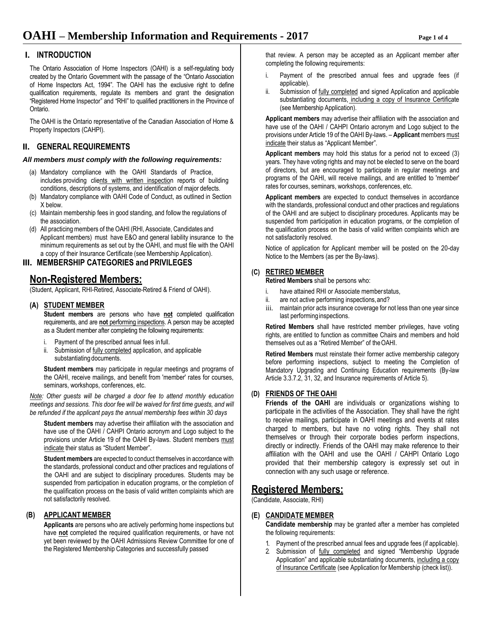#### **I. INTRODUCTION**

The Ontario Association of Home Inspectors (OAHI) is a self-regulating body created by the Ontario Government with the passage of the "Ontario Association of Home Inspectors Act, 1994". The OAHI has the exclusive right to define qualification requirements, regulate its members and grant the designation "Registered Home Inspector" and "RHI" to qualified practitioners in the Province of Ontario.

The OAHI is the Ontario representative of the Canadian Association of Home & Property Inspectors (CAHPI).

### **II. GENERAL REQUIREMENTS**

#### *All members must comply with the following requirements:*

- (a) Mandatory compliance with the OAHI Standards of Practice, includes providing clients with written inspection reports of building conditions, descriptions of systems, and identification of major defects.
- (b) Mandatory compliance with OAHI Code of Conduct, as outlined in Section X below.
- (c) Maintain membership fees in good standing, and follow the regulations of the association.
- (d) All practicing members of the OAHI (RHI, Associate, Candidates and Applicant members) must have E&O and general liability insurance to the minimum requirements as set out by the OAHI, and must file with the OAHI a copy of their Insurance Certificate (see Membership Application).

#### **III. MEMBERSHIP CATEGORIES and PRIVILEGES**

# **Non-Registered Members:**

(Student, Applicant, RHI-Retired, Associate-Retired & Friend of OAHI).

#### **(A) STUDENT MEMBER**

Student members are persons who have **not** completed qualification requirements, and are **not** performing inspections. A person may be accepted as a Student member after completing the following requirements:

- i. Payment of the prescribed annual fees infull.
- ii. Submission of fully completed application, and applicable substantiating documents.

**Student members** may participate in regular meetings and programs of the OAHI, receive mailings, and benefit from 'member' rates for courses, seminars, workshops, conferences, etc.

*Note: Other guests will be charged a door fee to attend monthly education meetings and sessions. This door fee will be waived for first time guests, and will be refunded if the applicant pays the annual membership fees within 30 days*

**Student members** may advertise their affiliation with the association and have use of the OAHI / CAHPI Ontario acronym and Logo subject to the provisions under Article 19 of the OAHI By-laws. Student members must indicate their status as "Student Member".

**Student members** are expected to conduct themselves in accordance with the standards, professional conduct and other practices and regulations of the OAHI and are subject to disciplinary procedures. Students may be suspended from participation in education programs, or the completion of the qualification process on the basis of valid written complaints which are not satisfactorily resolved.

#### **(B) APPLICANT MEMBER**

**Applicants** are persons who are actively performing home inspections but have **not** completed the required qualification requirements, or have not yet been reviewed by the OAHI Admissions Review Committee for one of the Registered Membership Categories and successfully passed

that review. A person may be accepted as an Applicant member after completing the following requirements:

- i. Payment of the prescribed annual fees and upgrade fees (if applicable).
- ii. Submission of fully completed and signed Application and applicable substantiating documents, including a copy of Insurance Certificate (see Membership Application).

**Applicant members** may advertise their affiliation with the association and have use of the OAHI / CAHPI Ontario acronym and Logo subject to the provisions under Article 19 of the OAHI By-laws. – **Applicant** members must indicate their status as "Applicant Member".

**Applicant members** may hold this status for a period not to exceed (3) years. They have voting rights and may not be elected to serve on the board of directors, but are encouraged to participate in regular meetings and programs of the OAHI, will receive mailings, and are entitled to 'member' rates for courses, seminars, workshops, conferences, etc.

**Applicant members** are expected to conduct themselves in accordance with the standards, professional conduct and other practices and regulations of the OAHI and are subject to disciplinary procedures. Applicants may be suspended from participation in education programs, or the completion of the qualification process on the basis of valid written complaints which are not satisfactorily resolved.

Notice of application for Applicant member will be posted on the 20-day Notice to the Members (as per the By-laws).

#### **(C) RETIRED MEMBER**

**Retired Members** shall be persons who:

- i. have attained RHI or Associate memberstatus,
- ii. are not active performing inspections,and?
- iii. maintain prior acts insurance coverage for not less than one year since last performinginspections.

**Retired Members** shall have restricted member privileges, have voting rights, are entitled to function as committee Chairs and members and hold themselves out as a "Retired Member" of theOAHI.

**Retired Members** must reinstate their former active membership category before performing inspections, subject to meeting the Completion of Mandatory Upgrading and Continuing Education requirements (By-law Article 3.3.7.2, 31, 32, and Insurance requirements of Article 5).

#### **(D) FRIENDS OF THE OAHI**

**Friends of the OAHI** are individuals or organizations wishing to participate in the activities of the Association. They shall have the right to receive mailings, participate in OAHI meetings and events at rates charged to members, but have no voting rights. They shall not themselves or through their corporate bodies perform inspections, directly or indirectly. Friends of the OAHI may make reference to their affiliation with the OAHI and use the OAHI / CAHPI Ontario Logo provided that their membership category is expressly set out in connection with any such usage or reference.

# **Registered Members:**

(Candidate, Associate, RHI)

#### **(E) CANDIDATE MEMBER**

**Candidate membership** may be granted after a member has completed the following requirements:

- 1. Payment of the prescribed annual fees and upgrade fees (if applicable).
- 2. Submission of fully completed and signed "Membership Upgrade Application" and applicable substantiating documents, including a copy of Insurance Certificate (see Application for Membership (check list)).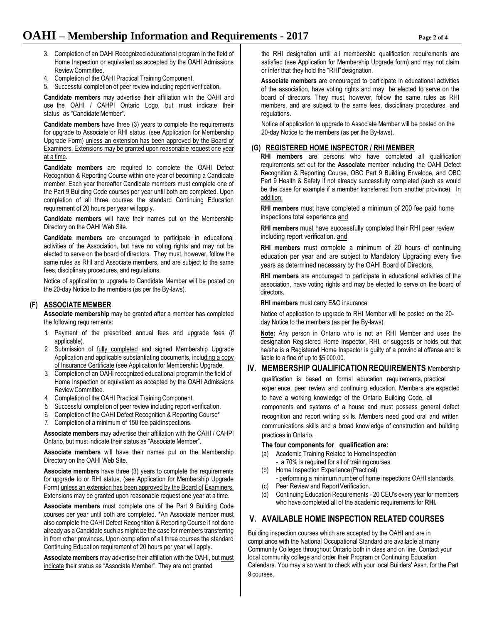- 3. Completion of an OAHI Recognized educational program in the field of Home Inspection or equivalent as accepted by the OAHI Admissions ReviewCommittee.
- 4. Completion of the OAHI Practical Training Component.
- 5. Successful completion of peer review including report verification.

**Candidate members** may advertise their affiliation with the OAHI and use the OAHI / CAHPI Ontario Logo, but must indicate their status as "Candidate Member".

**Candidate members** have three (3) years to complete the requirements for upgrade to Associate or RHI status, (see Application for Membership Upgrade Form) unless an extension has been approved by the Board of Examiners. Extensions may be granted upon reasonable request one year at a time.

**Candidate members** are required to complete the OAHI Defect Recognition & Reporting Course within one year of becoming a Candidate member. Each year thereafter Candidate members must complete one of the Part 9 Building Code courses per year until both are completed. Upon completion of all three courses the standard Continuing Education requirement of 20 hours per year willapply.

**Candidate members** will have their names put on the Membership Directory on the OAHI Web Site.

**Candidate members** are encouraged to participate in educational activities of the Association, but have no voting rights and may not be elected to serve on the board of directors. They must, however, follow the same rules as RHI and Associate members, and are subject to the same fees, disciplinary procedures, and regulations.

Notice of application to upgrade to Candidate Member will be posted on the 20-day Notice to the members (as per the By-laws).

#### **(F) ASSOCIATE MEMBER**

**Associate membership** may be granted after a member has completed the following requirements:

- 1. Payment of the prescribed annual fees and upgrade fees (if applicable).
- 2. Submission of fully completed and signed Membership Upgrade Application and applicable substantiating documents, including a copy of Insurance Certificate (see Application for Membership Upgrade.
- 3. Completion of an OAHI recognized educational program in the field of Home Inspection or equivalent as accepted by the OAHI Admissions Review Committee.
- 4. Completion of the OAHI Practical Training Component.
- 5. Successful completion of peer review including report verification.
- 6. Completion of the OAHI Defect Recognition & Reporting Course\*
- 7. Completion of a minimum of 150 fee paidinspections.

**Associate members** may advertise their affiliation with the OAHI / CAHPI Ontario, but must indicate their status as "Associate Member".

**Associate members** will have their names put on the Membership Directory on the OAHI Web Site.

**Associate members** have three (3) years to complete the requirements for upgrade to or RHI status, (see Application for Membership Upgrade Form) unless an extension has been approved by the Board of Examiners. Extensions may be granted upon reasonable request one year at a time.

**Associate members** must complete one of the Part 9 Building Code courses per year until both are completed. \*An Associate member must also complete the OAHI Defect Recognition & Reporting Course if not done already as a Candidate such as might be the case for members transferring in from other provinces. Upon completion of all three courses the standard Continuing Education requirement of 20 hours per year will apply.

**Associate members** may advertise their affiliation with the OAHI, but must indicate their status as "Associate Member". They are not granted

the RHI designation until all membership qualification requirements are satisfied (see Application for Membership Upgrade form) and may not claim or infer that they hold the "RHI"designation.

**Associate members** are encouraged to participate in educational activities of the association, have voting rights and may be elected to serve on the board of directors. They must, however, follow the same rules as RHI members, and are subject to the same fees, disciplinary procedures, and regulations.

Notice of application to upgrade to Associate Member will be posted on the 20-day Notice to the members (as per the By-laws).

#### **(G) REGISTERED HOME INSPECTOR / RHIMEMBER**

**RHI members** are persons who have completed all qualification requirements set out for the **Associate** member including the OAHI Defect Recognition & Reporting Course, OBC Part 9 Building Envelope, and OBC Part 9 Health & Safety if not already successfully completed (such as would be the case for example if a member transferred from another province). In addition:

**RHI members** must have completed a minimum of 200 fee paid home inspections total experience and

**RHI members** must have successfully completed their RHI peer review including report verification. and

**RHI members** must complete a minimum of 20 hours of continuing education per year and are subject to Mandatory Upgrading every five years as determined necessary by the OAHI Board of Directors.

**RHI members** are encouraged to participate in educational activities of the association, have voting rights and may be elected to serve on the board of directors.

**RHI members** must carry E&O insurance

Notice of application to upgrade to RHI Member will be posted on the 20 day Notice to the members (as per the By-laws).

**Note:** Any person in Ontario who is not an RHI Member and uses the designation Registered Home Inspector, RHI, or suggests or holds out that he/she is a Registered Home Inspector is guilty of a provincial offense and is liable to a fine of up to \$5,000.00.

# **IV. MEMBERSHIP QUALIFICATION REQUIREMENTS** Membership

qualification is based on formal education requirements, practical experience, peer review and continuing education. Members are expected to have a working knowledge of the Ontario Building Code, all

components and systems of a house and must possess general defect recognition and report writing skills. Members need good oral and written communications skills and a broad knowledge of construction and building practices in Ontario.

#### **The four components for qualification are:**

- (a) Academic Training Related to Home Inspection
	- a 70% is required for all of training courses.
- (b) Home Inspection Experience (Practical)
- performing a minimum number of home inspections OAHI standards.
- (c) Peer Review and Report Verification.
- (d) Continuing Education Requirements 20 CEU's every year for members who have completed all of the academic requirements for **RHI.**

### **V. AVAILABLE HOME INSPECTION RELATED COURSES**

Building inspection courses which are accepted by the OAHI and are in compliance with the National Occupational Standard are available at many Community Colleges throughout Ontario both in class and on line. Contact your local community college and order their Program or Continuing Education Calendars. You may also want to check with your local Builders' Assn. for the Part 9 courses.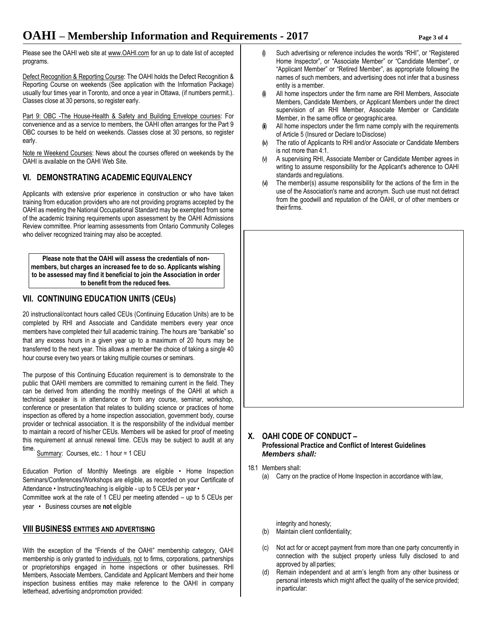Please see the OAHI web site a[t www.OAHI.com](http://www.oahi.com/) for an up to date list of accepted programs.

Defect Recognition & Reporting Course: The OAHI holds the Defect Recognition & Reporting Course on weekends (See application with the Information Package) usually four times year in Toronto, and once a year in Ottawa, (if numbers permit.). Classes close at 30 persons, so register early.

Part 9: OBC -The House-Health & Safety and Building Envelope courses: For convenience and as a service to members, the OAHI often arranges for the Part 9 OBC courses to be held on weekends. Classes close at 30 persons, so register early.

Note re Weekend Courses: News about the courses offered on weekends by the OAHI is available on the OAHI Web Site.

## **VI. DEMONSTRATING ACADEMICEQUIVALENCY**

Applicants with extensive prior experience in construction or who have taken training from education providers who are not providing programs accepted by the OAHI as meeting the National Occupational Standard may be exempted from some of the academic training requirements upon assessment by the OAHI Admissions Review committee. Prior learning assessments from Ontario Community Colleges who deliver recognized training may also be accepted.

**Please note that the OAHI will assess the credentials of nonmembers, but charges an increased fee to do so. Applicants wishing to be assessed may find it beneficial to join the Association in order to benefit from the reduced fees.**

# **VII. CONTINUING EDUCATION UNITS (CEUs)**

20 instructional/contact hours called CEUs (Continuing Education Units) are to be completed by RHI and Associate and Candidate members every year once members have completed their full academic training. The hours are "bankable" so that any excess hours in a given year up to a maximum of 20 hours may be transferred to the next year. This allows a member the choice of taking a single 40 hour course every two years or taking multiple courses or seminars.

The purpose of this Continuing Education requirement is to demonstrate to the public that OAHI members are committed to remaining current in the field. They can be derived from attending the monthly meetings of the OAHI at which a technical speaker is in attendance or from any course, seminar, workshop, conference or presentation that relates to building science or practices of home inspection as offered by a home inspection association, government body, course provider or technical association. It is the responsibility of the individual member to maintain a record of his/her CEUs. Members will be asked for proof of meeting this requirement at annual renewal time. CEUs may be subject to audit at any time.

Summary: Courses, etc.: 1 hour = 1 CEU

Education Portion of Monthly Meetings are eligible • Home Inspection Seminars/Conferences/Workshops are eligible, as recorded on your Certificate of Attendance • Instructing/teaching is eligible - up to 5 CEUs per year •

Committee work at the rate of 1 CEU per meeting attended – up to 5 CEUs per year • Business courses are **not** eligible

#### **VIII BUSINESS ENTITIES AND ADVERTISING**

With the exception of the "Friends of the OAHI" membership category, OAHI membership is only granted to individuals, not to firms, corporations, partnerships or proprietorships engaged in home inspections or other businesses. RHI Members, Associate Members, Candidate and Applicant Members and their home inspection business entities may make reference to the OAHI in company letterhead, advertising andpromotion provided:

- (i) Such advertising or reference includes the words "RHI", or "Registered Home Inspector", or "Associate Member" or "Candidate Member", or "Applicant Member" or "Retired Member", as appropriate following the names of such members, and advertising does not infer that a business entity is amember.
- All home inspectors under the firm name are RHI Members, Associate Members, Candidate Members, or Applicant Members under the direct supervision of an RHI Member, Associate Member or Candidate Member, in the same office or geographicarea.
- All home inspectors under the firm name comply with the requirements of Article 5 (Insured or Declare toDisclose)
- (iv) The ratio of Applicants to RHI and/or Associate or Candidate Members is not more than 4:1.
- (v) A supervising RHI, Associate Member or Candidate Member agrees in writing to assume responsibility for the Applicant's adherence to OAHI standards and regulations.
- (vi) The member(s) assume responsibility for the actions of the firm in the use of the Association's name and acronym. Such use must not detract from the goodwill and reputation of the OAHI, or of other members or their firms.

# **X. OAHI CODE OF CONDUCT – Professional Practice and Conflict of Interest Guidelines** *Members shall:*

18.1 Members shall: (a) Carry on the practice of Home Inspection in accordance with law,

integrity and honesty;

- (b) Maintain client confidentiality;
- (c) Not act for or accept payment from more than one party concurrently in connection with the subject property unless fully disclosed to and approved by all parties;
- (d) Remain independent and at arm's length from any other business or personal interests which might affect the quality of the service provided; in particular: